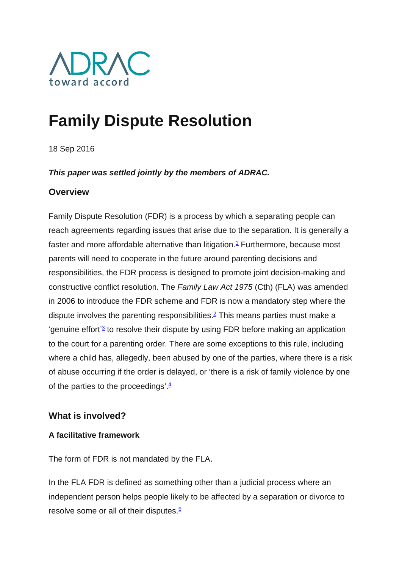

# **Family Dispute Resolution**

18 Sep 2016

### *This paper was settled jointly by the members of ADRAC.*

### **Overview**

Family Dispute Resolution (FDR) is a process by which a separating people can reach agreements regarding issues that arise due to the separation. It is generally a faster and more affordable alternative than litigation.<sup>1</sup> Furthermore, because most parents will need to cooperate in the future around parenting decisions and responsibilities, the FDR process is designed to promote joint decision-making and constructive conflict resolution. The *Family Law Act 1975* (Cth) (FLA) was amended in 2006 to introduce the FDR scheme and FDR is now a mandatory step where the dispute involves the parenting responsibilities[.2](http://www.adrac.org.au/adr-mapping/family-dispute-resolution#note2) This means parties must make a  $q$  'genuine effort<sup>'</sup> to resolve their dispute by using FDR before making an application to the court for a parenting order. There are some exceptions to this rule, including where a child has, allegedly, been abused by one of the parties, where there is a risk of abuse occurring if the order is delayed, or 'there is a risk of family violence by one of the parties to the proceedings'. $\frac{4}{3}$ 

# **What is involved?**

### **A facilitative framework**

The form of FDR is not mandated by the FLA.

In the FLA FDR is defined as something other than a judicial process where an independent person helps people likely to be affected by a separation or divorce to resolve some or all of their disputes. $5$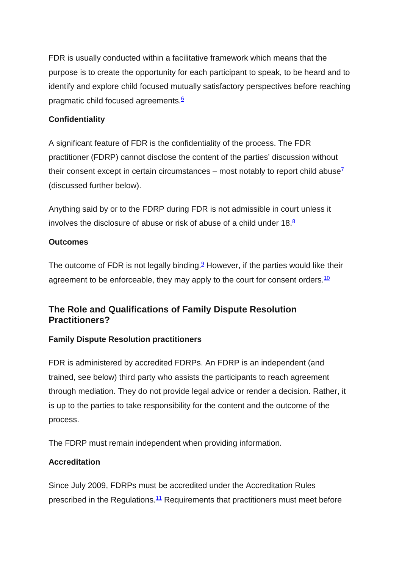FDR is usually conducted within a facilitative framework which means that the purpose is to create the opportunity for each participant to speak, to be heard and to identify and explore child focused mutually satisfactory perspectives before reaching pragmatic child focused agreements.<sup>6</sup>

### **Confidentiality**

A significant feature of FDR is the confidentiality of the process. The FDR practitioner (FDRP) cannot disclose the content of the parties' discussion without their consent except in certain circumstances – most notably to report child abuse<sup> $7$ </sup> (discussed further below).

Anything said by or to the FDRP during FDR is not admissible in court unless it involves the disclosure of abuse or risk of abuse of a child under  $18<sup>8</sup>$ 

#### **Outcomes**

The outcome of FDR is not legally binding.<sup>9</sup> However, if the parties would like their agreement to be enforceable, they may apply to the court for consent orders.<sup>10</sup>

# **The Role and Qualifications of Family Dispute Resolution Practitioners?**

### **Family Dispute Resolution practitioners**

FDR is administered by accredited FDRPs. An FDRP is an independent (and trained, see below) third party who assists the participants to reach agreement through mediation. They do not provide legal advice or render a decision. Rather, it is up to the parties to take responsibility for the content and the outcome of the process.

The FDRP must remain independent when providing information.

### **Accreditation**

Since July 2009, FDRPs must be accredited under the Accreditation Rules prescribed in the Regulations[.11](http://www.adrac.org.au/adr-mapping/family-dispute-resolution#note11) Requirements that practitioners must meet before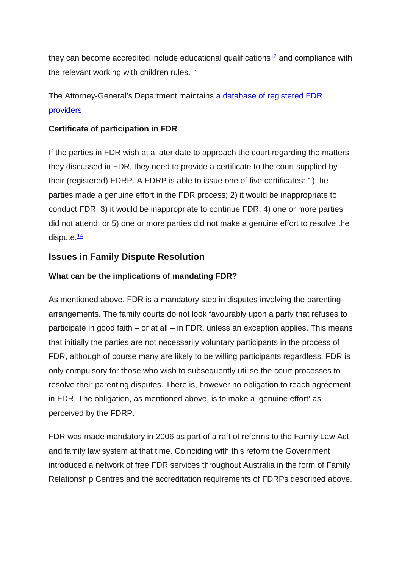they can become accredited include educational qualifications<sup>12</sup> and compliance with the relevant working with children rules. $\frac{13}{12}$ 

The Attorney-General's Department maintains [a database of registered FDR](http://www.fdrr.ag.gov.au/Search.aspx)  [providers.](http://www.fdrr.ag.gov.au/Search.aspx)

### **Certificate of participation in FDR**

If the parties in FDR wish at a later date to approach the court regarding the matters they discussed in FDR, they need to provide a certificate to the court supplied by their (registered) FDRP. A FDRP is able to issue one of five certificates: 1) the parties made a genuine effort in the FDR process; 2) it would be inappropriate to conduct FDR; 3) it would be inappropriate to continue FDR; 4) one or more parties did not attend; or 5) one or more parties did not make a genuine effort to resolve the dispute. $\frac{14}{1}$ 

# **Issues in Family Dispute Resolution**

## **What can be the implications of mandating FDR?**

As mentioned above, FDR is a mandatory step in disputes involving the parenting arrangements. The family courts do not look favourably upon a party that refuses to participate in good faith – or at all – in FDR, unless an exception applies. This means that initially the parties are not necessarily voluntary participants in the process of FDR, although of course many are likely to be willing participants regardless. FDR is only compulsory for those who wish to subsequently utilise the court processes to resolve their parenting disputes. There is, however no obligation to reach agreement in FDR. The obligation, as mentioned above, is to make a 'genuine effort' as perceived by the FDRP.

FDR was made mandatory in 2006 as part of a raft of reforms to the Family Law Act and family law system at that time. Coinciding with this reform the Government introduced a network of free FDR services throughout Australia in the form of Family Relationship Centres and the accreditation requirements of FDRPs described above.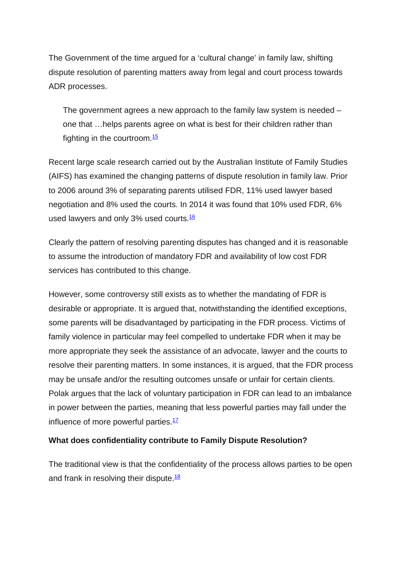The Government of the time argued for a 'cultural change' in family law, shifting dispute resolution of parenting matters away from legal and court process towards ADR processes.

The government agrees a new approach to the family law system is needed – one that …helps parents agree on what is best for their children rather than fighting in the courtroom.<sup>15</sup>

Recent large scale research carried out by the Australian Institute of Family Studies (AIFS) has examined the changing patterns of dispute resolution in family law. Prior to 2006 around 3% of separating parents utilised FDR, 11% used lawyer based negotiation and 8% used the courts. In 2014 it was found that 10% used FDR, 6% used lawyers and only 3% used courts.<sup>16</sup>

Clearly the pattern of resolving parenting disputes has changed and it is reasonable to assume the introduction of mandatory FDR and availability of low cost FDR services has contributed to this change.

However, some controversy still exists as to whether the mandating of FDR is desirable or appropriate. It is argued that, notwithstanding the identified exceptions, some parents will be disadvantaged by participating in the FDR process. Victims of family violence in particular may feel compelled to undertake FDR when it may be more appropriate they seek the assistance of an advocate, lawyer and the courts to resolve their parenting matters. In some instances, it is argued, that the FDR process may be unsafe and/or the resulting outcomes unsafe or unfair for certain clients. Polak argues that the lack of voluntary participation in FDR can lead to an imbalance in power between the parties, meaning that less powerful parties may fall under the influence of more powerful parties. $17$ 

#### **What does confidentiality contribute to Family Dispute Resolution?**

The traditional view is that the confidentiality of the process allows parties to be open and frank in resolving their dispute  $18$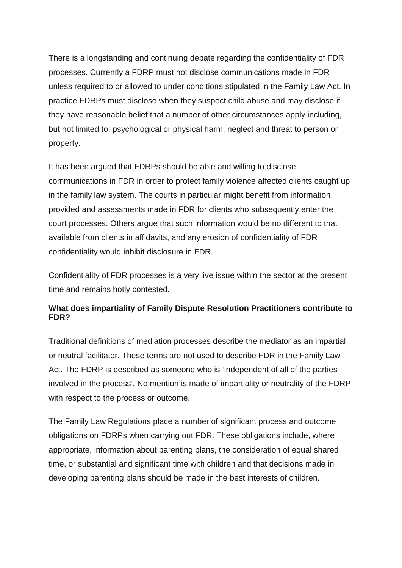There is a longstanding and continuing debate regarding the confidentiality of FDR processes. Currently a FDRP must not disclose communications made in FDR unless required to or allowed to under conditions stipulated in the Family Law Act. In practice FDRPs must disclose when they suspect child abuse and may disclose if they have reasonable belief that a number of other circumstances apply including, but not limited to: psychological or physical harm, neglect and threat to person or property.

It has been argued that FDRPs should be able and willing to disclose communications in FDR in order to protect family violence affected clients caught up in the family law system. The courts in particular might benefit from information provided and assessments made in FDR for clients who subsequently enter the court processes. Others argue that such information would be no different to that available from clients in affidavits, and any erosion of confidentiality of FDR confidentiality would inhibit disclosure in FDR.

Confidentiality of FDR processes is a very live issue within the sector at the present time and remains hotly contested.

### **What does impartiality of Family Dispute Resolution Practitioners contribute to FDR?**

Traditional definitions of mediation processes describe the mediator as an impartial or neutral facilitator. These terms are not used to describe FDR in the Family Law Act. The FDRP is described as someone who is 'independent of all of the parties involved in the process'. No mention is made of impartiality or neutrality of the FDRP with respect to the process or outcome.

The Family Law Regulations place a number of significant process and outcome obligations on FDRPs when carrying out FDR. These obligations include, where appropriate, information about parenting plans, the consideration of equal shared time, or substantial and significant time with children and that decisions made in developing parenting plans should be made in the best interests of children.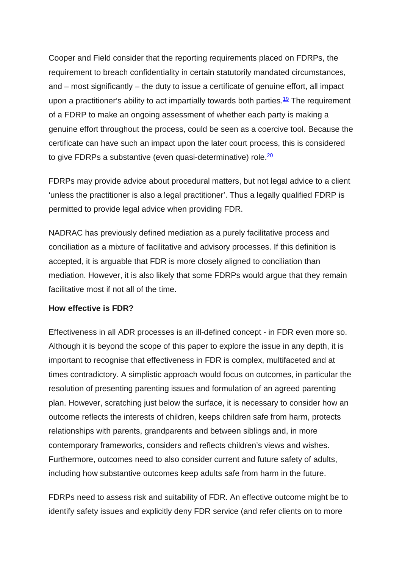Cooper and Field consider that the reporting requirements placed on FDRPs, the requirement to breach confidentiality in certain statutorily mandated circumstances, and – most significantly – the duty to issue a certificate of genuine effort, all impact upon a practitioner's ability to act impartially towards both parties.<sup>19</sup> The requirement of a FDRP to make an ongoing assessment of whether each party is making a genuine effort throughout the process, could be seen as a coercive tool. Because the certificate can have such an impact upon the later court process, this is considered to give FDRPs a substantive (even quasi-determinative) role.  $\frac{20}{20}$ 

FDRPs may provide advice about procedural matters, but not legal advice to a client 'unless the practitioner is also a legal practitioner'. Thus a legally qualified FDRP is permitted to provide legal advice when providing FDR.

NADRAC has previously defined mediation as a purely facilitative process and conciliation as a mixture of facilitative and advisory processes. If this definition is accepted, it is arguable that FDR is more closely aligned to conciliation than mediation. However, it is also likely that some FDRPs would argue that they remain facilitative most if not all of the time.

#### **How effective is FDR?**

Effectiveness in all ADR processes is an ill-defined concept - in FDR even more so. Although it is beyond the scope of this paper to explore the issue in any depth, it is important to recognise that effectiveness in FDR is complex, multifaceted and at times contradictory. A simplistic approach would focus on outcomes, in particular the resolution of presenting parenting issues and formulation of an agreed parenting plan. However, scratching just below the surface, it is necessary to consider how an outcome reflects the interests of children, keeps children safe from harm, protects relationships with parents, grandparents and between siblings and, in more contemporary frameworks, considers and reflects children's views and wishes. Furthermore, outcomes need to also consider current and future safety of adults, including how substantive outcomes keep adults safe from harm in the future.

FDRPs need to assess risk and suitability of FDR. An effective outcome might be to identify safety issues and explicitly deny FDR service (and refer clients on to more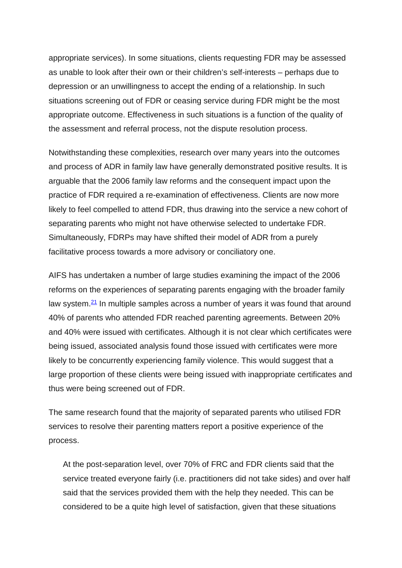appropriate services). In some situations, clients requesting FDR may be assessed as unable to look after their own or their children's self-interests – perhaps due to depression or an unwillingness to accept the ending of a relationship. In such situations screening out of FDR or ceasing service during FDR might be the most appropriate outcome. Effectiveness in such situations is a function of the quality of the assessment and referral process, not the dispute resolution process.

Notwithstanding these complexities, research over many years into the outcomes and process of ADR in family law have generally demonstrated positive results. It is arguable that the 2006 family law reforms and the consequent impact upon the practice of FDR required a re-examination of effectiveness. Clients are now more likely to feel compelled to attend FDR, thus drawing into the service a new cohort of separating parents who might not have otherwise selected to undertake FDR. Simultaneously, FDRPs may have shifted their model of ADR from a purely facilitative process towards a more advisory or conciliatory one.

AIFS has undertaken a number of large studies examining the impact of the 2006 reforms on the experiences of separating parents engaging with the broader family law system. $21$  In multiple samples across a number of years it was found that around 40% of parents who attended FDR reached parenting agreements. Between 20% and 40% were issued with certificates. Although it is not clear which certificates were being issued, associated analysis found those issued with certificates were more likely to be concurrently experiencing family violence. This would suggest that a large proportion of these clients were being issued with inappropriate certificates and thus were being screened out of FDR.

The same research found that the majority of separated parents who utilised FDR services to resolve their parenting matters report a positive experience of the process.

At the post-separation level, over 70% of FRC and FDR clients said that the service treated everyone fairly (i.e. practitioners did not take sides) and over half said that the services provided them with the help they needed. This can be considered to be a quite high level of satisfaction, given that these situations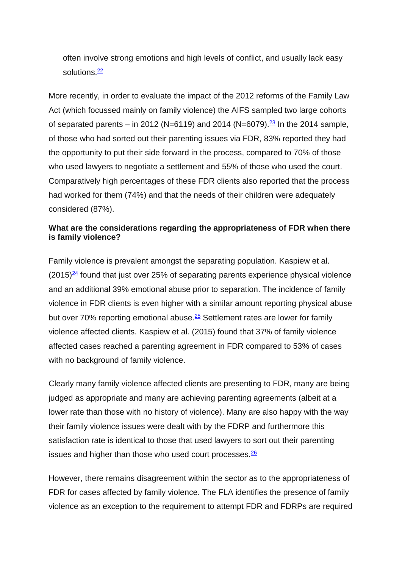often involve strong emotions and high levels of conflict, and usually lack easy solutions<sup>22</sup>

More recently, in order to evaluate the impact of the 2012 reforms of the Family Law Act (which focussed mainly on family violence) the AIFS sampled two large cohorts of separated parents – in 2012 (N=6119) and 2014 (N=6079).<sup>23</sup> In the 2014 sample, of those who had sorted out their parenting issues via FDR, 83% reported they had the opportunity to put their side forward in the process, compared to 70% of those who used lawyers to negotiate a settlement and 55% of those who used the court. Comparatively high percentages of these FDR clients also reported that the process had worked for them (74%) and that the needs of their children were adequately considered (87%).

#### **What are the considerations regarding the appropriateness of FDR when there is family violence?**

Family violence is prevalent amongst the separating population. Kaspiew et al.  $(2015)^{24}$  found that just over 25% of separating parents experience physical violence and an additional 39% emotional abuse prior to separation. The incidence of family violence in FDR clients is even higher with a similar amount reporting physical abuse but over 70% reporting emotional abuse. $25$  Settlement rates are lower for family violence affected clients. Kaspiew et al. (2015) found that 37% of family violence affected cases reached a parenting agreement in FDR compared to 53% of cases with no background of family violence.

Clearly many family violence affected clients are presenting to FDR, many are being judged as appropriate and many are achieving parenting agreements (albeit at a lower rate than those with no history of violence). Many are also happy with the way their family violence issues were dealt with by the FDRP and furthermore this satisfaction rate is identical to those that used lawyers to sort out their parenting issues and higher than those who used court processes.<sup>26</sup>

However, there remains disagreement within the sector as to the appropriateness of FDR for cases affected by family violence. The FLA identifies the presence of family violence as an exception to the requirement to attempt FDR and FDRPs are required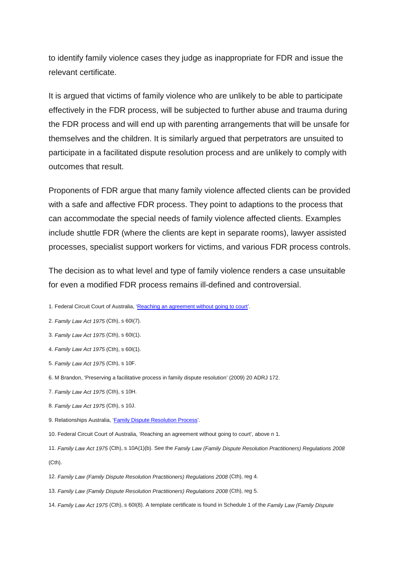to identify family violence cases they judge as inappropriate for FDR and issue the relevant certificate.

It is argued that victims of family violence who are unlikely to be able to participate effectively in the FDR process, will be subjected to further abuse and trauma during the FDR process and will end up with parenting arrangements that will be unsafe for themselves and the children. It is similarly argued that perpetrators are unsuited to participate in a facilitated dispute resolution process and are unlikely to comply with outcomes that result.

Proponents of FDR argue that many family violence affected clients can be provided with a safe and affective FDR process. They point to adaptions to the process that can accommodate the special needs of family violence affected clients. Examples include shuttle FDR (where the clients are kept in separate rooms), lawyer assisted processes, specialist support workers for victims, and various FDR process controls.

The decision as to what level and type of family violence renders a case unsuitable for even a modified FDR process remains ill-defined and controversial.

- 1. Federal Circuit Court of Australia, 'Reaching [an agreement without going to court'.](http://www.federalcircuitcourt.gov.au/wps/wcm/connect/fccweb/family-law-matters/family-dispute-resolution/)
- 2. *Family Law Act 1975* (Cth), s 60I(7).
- 3. *Family Law Act 1975* (Cth), s 60I(1).
- 4. *Family Law Act 1975* (Cth), s 60I(1).
- 5. *Family Law Act 1975* (Cth), s 10F.
- 6. M Brandon, 'Preserving a facilitative process in family dispute resolution' (2009) 20 ADRJ 172.
- 7. *Family Law Act 1975* (Cth), s 10H.
- 8. *Family Law Act 1975* (Cth), s 10J.
- 9. Relationships Australia, ['Family Dispute Resolution Process'.](http://www.relationships.org.au/what-we-do/services/family-dispute-resolution/family-dispute-resolution-process)
- 10. Federal Circuit Court of Australia, 'Reaching an agreement without going to court', above n 1.
- 11. *Family Law Act 1975* (Cth), s 10A(1)(b). See the *Family Law (Family Dispute Resolution Practitioners) Regulations 2008*  $(Cth)$ .
- 12. *Family Law (Family Dispute Resolution Practitioners) Regulations 2008* (Cth), reg 4.
- 13. *Family Law (Family Dispute Resolution Practitioners) Regulations 2008* (Cth), reg 5.
- 14. *Family Law Act 1975* (Cth), s 60I(8). A template certificate is found in Schedule 1 of the *Family Law (Family Dispute*